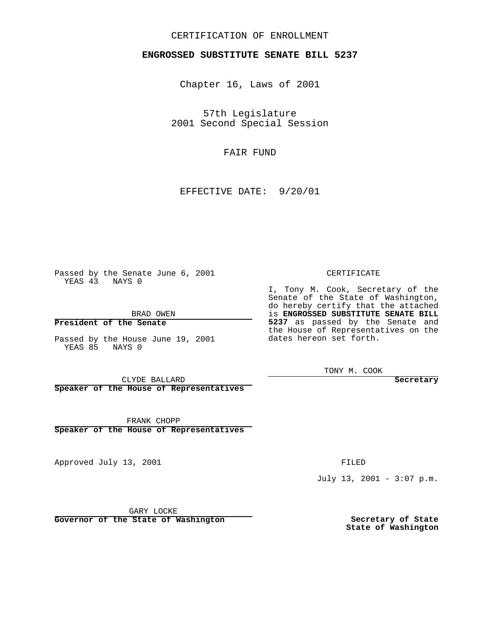## CERTIFICATION OF ENROLLMENT

## **ENGROSSED SUBSTITUTE SENATE BILL 5237**

Chapter 16, Laws of 2001

57th Legislature 2001 Second Special Session

FAIR FUND

EFFECTIVE DATE: 9/20/01

Passed by the Senate June 6, 2001 YEAS 43 NAYS 0

BRAD OWEN

**President of the Senate**

Passed by the House June 19, 2001 YEAS 85 NAYS 0

CLYDE BALLARD

**Speaker of the House of Representatives**

FRANK CHOPP **Speaker of the House of Representatives**

Approved July 13, 2001

FILED

July 13, 2001 - 3:07 p.m.

GARY LOCKE

**Governor of the State of Washington**

**Secretary of State State of Washington**

CERTIFICATE

I, Tony M. Cook, Secretary of the Senate of the State of Washington, do hereby certify that the attached is **ENGROSSED SUBSTITUTE SENATE BILL 5237** as passed by the Senate and the House of Representatives on the dates hereon set forth.

TONY M. COOK

**Secretary**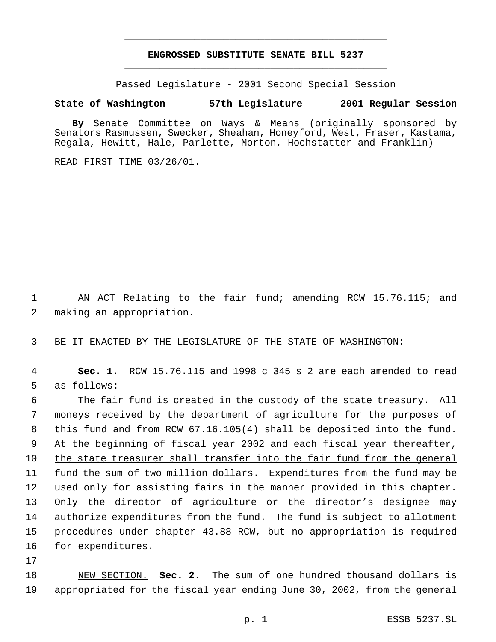## **ENGROSSED SUBSTITUTE SENATE BILL 5237** \_\_\_\_\_\_\_\_\_\_\_\_\_\_\_\_\_\_\_\_\_\_\_\_\_\_\_\_\_\_\_\_\_\_\_\_\_\_\_\_\_\_\_\_\_

\_\_\_\_\_\_\_\_\_\_\_\_\_\_\_\_\_\_\_\_\_\_\_\_\_\_\_\_\_\_\_\_\_\_\_\_\_\_\_\_\_\_\_\_\_

Passed Legislature - 2001 Second Special Session

## **State of Washington 57th Legislature 2001 Regular Session**

**By** Senate Committee on Ways & Means (originally sponsored by Senators Rasmussen, Swecker, Sheahan, Honeyford, West, Fraser, Kastama, Regala, Hewitt, Hale, Parlette, Morton, Hochstatter and Franklin)

READ FIRST TIME 03/26/01.

1 AN ACT Relating to the fair fund; amending RCW 15.76.115; and 2 making an appropriation.

3 BE IT ENACTED BY THE LEGISLATURE OF THE STATE OF WASHINGTON:

4 **Sec. 1.** RCW 15.76.115 and 1998 c 345 s 2 are each amended to read 5 as follows:

 The fair fund is created in the custody of the state treasury. All moneys received by the department of agriculture for the purposes of this fund and from RCW 67.16.105(4) shall be deposited into the fund. 9 At the beginning of fiscal year 2002 and each fiscal year thereafter, the state treasurer shall transfer into the fair fund from the general 11 fund the sum of two million dollars. Expenditures from the fund may be used only for assisting fairs in the manner provided in this chapter. Only the director of agriculture or the director's designee may authorize expenditures from the fund. The fund is subject to allotment procedures under chapter 43.88 RCW, but no appropriation is required for expenditures.

17

18 NEW SECTION. **Sec. 2.** The sum of one hundred thousand dollars is 19 appropriated for the fiscal year ending June 30, 2002, from the general